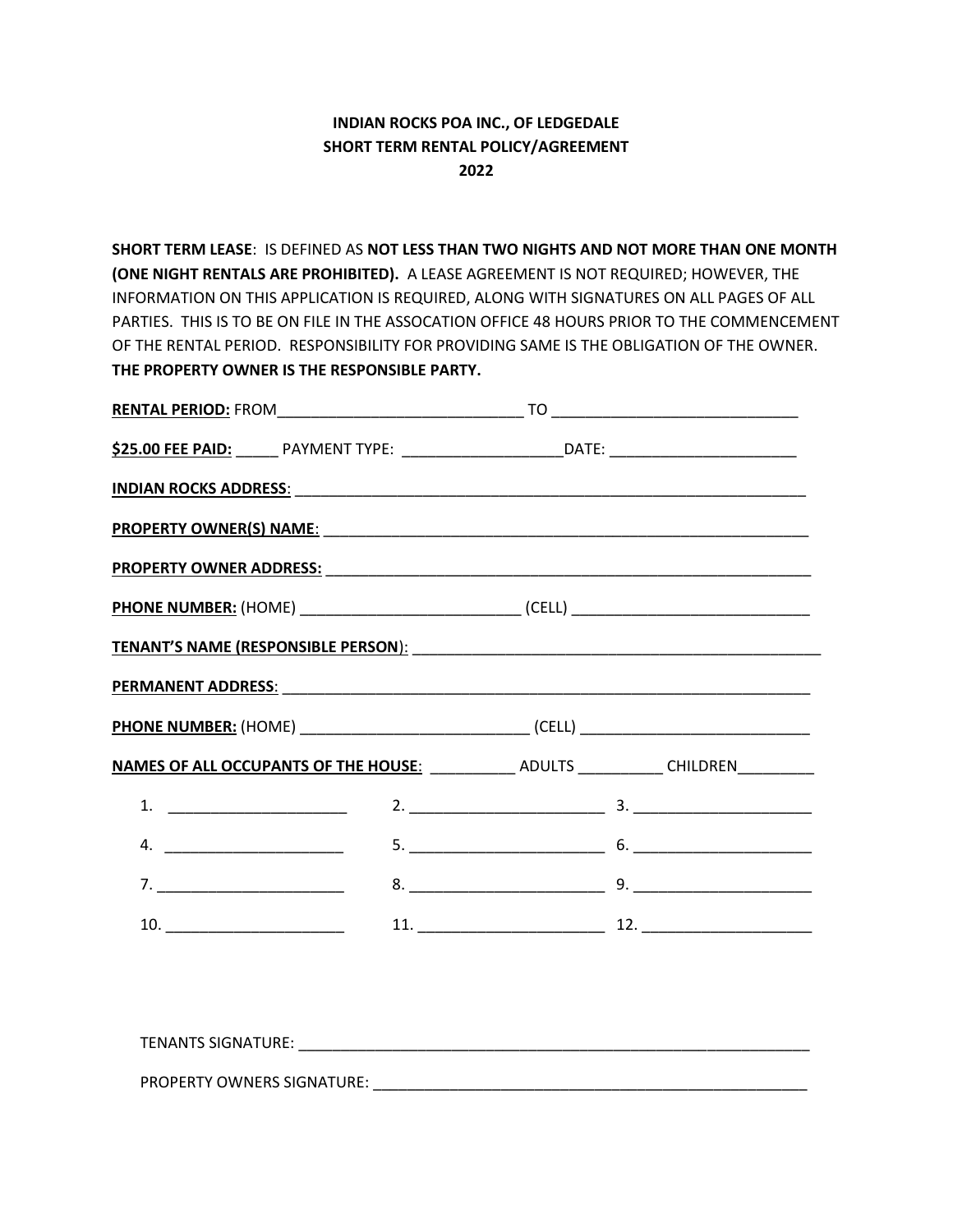## **INDIAN ROCKS POA INC., OF LEDGEDALE SHORT TERM RENTAL POLICY/AGREEMENT 2022**

**SHORT TERM LEASE**: IS DEFINED AS **NOT LESS THAN TWO NIGHTS AND NOT MORE THAN ONE MONTH (ONE NIGHT RENTALS ARE PROHIBITED).** A LEASE AGREEMENT IS NOT REQUIRED; HOWEVER, THE INFORMATION ON THIS APPLICATION IS REQUIRED, ALONG WITH SIGNATURES ON ALL PAGES OF ALL PARTIES. THIS IS TO BE ON FILE IN THE ASSOCATION OFFICE 48 HOURS PRIOR TO THE COMMENCEMENT OF THE RENTAL PERIOD. RESPONSIBILITY FOR PROVIDING SAME IS THE OBLIGATION OF THE OWNER. **THE PROPERTY OWNER IS THE RESPONSIBLE PARTY.**

| \$25.00 FEE PAID: PAYMENT TYPE: ________________________________DATE: _______________________________                                                                                                                                                                                                                  |  |  |  |
|------------------------------------------------------------------------------------------------------------------------------------------------------------------------------------------------------------------------------------------------------------------------------------------------------------------------|--|--|--|
|                                                                                                                                                                                                                                                                                                                        |  |  |  |
|                                                                                                                                                                                                                                                                                                                        |  |  |  |
|                                                                                                                                                                                                                                                                                                                        |  |  |  |
|                                                                                                                                                                                                                                                                                                                        |  |  |  |
|                                                                                                                                                                                                                                                                                                                        |  |  |  |
|                                                                                                                                                                                                                                                                                                                        |  |  |  |
|                                                                                                                                                                                                                                                                                                                        |  |  |  |
| NAMES OF ALL OCCUPANTS OF THE HOUSE: _____________ ADULTS ____________ CHILDREN___________                                                                                                                                                                                                                             |  |  |  |
|                                                                                                                                                                                                                                                                                                                        |  |  |  |
| 4. $\frac{1}{2}$ $\frac{1}{2}$ $\frac{1}{2}$ $\frac{1}{2}$ $\frac{1}{2}$ $\frac{1}{2}$ $\frac{1}{2}$ $\frac{1}{2}$ $\frac{1}{2}$ $\frac{1}{2}$ $\frac{1}{2}$ $\frac{1}{2}$ $\frac{1}{2}$ $\frac{1}{2}$ $\frac{1}{2}$ $\frac{1}{2}$ $\frac{1}{2}$ $\frac{1}{2}$ $\frac{1}{2}$ $\frac{1}{2}$ $\frac{1}{2}$ $\frac{1}{2}$ |  |  |  |
|                                                                                                                                                                                                                                                                                                                        |  |  |  |
|                                                                                                                                                                                                                                                                                                                        |  |  |  |

TENANTS SIGNATURE: \_\_\_\_\_\_\_\_\_\_\_\_\_\_\_\_\_\_\_\_\_\_\_\_\_\_\_\_\_\_\_\_\_\_\_\_\_\_\_\_\_\_\_\_\_\_\_\_\_\_\_\_\_\_\_\_\_\_\_\_ PROPERTY OWNERS SIGNATURE: \_\_\_\_\_\_\_\_\_\_\_\_\_\_\_\_\_\_\_\_\_\_\_\_\_\_\_\_\_\_\_\_\_\_\_\_\_\_\_\_\_\_\_\_\_\_\_\_\_\_\_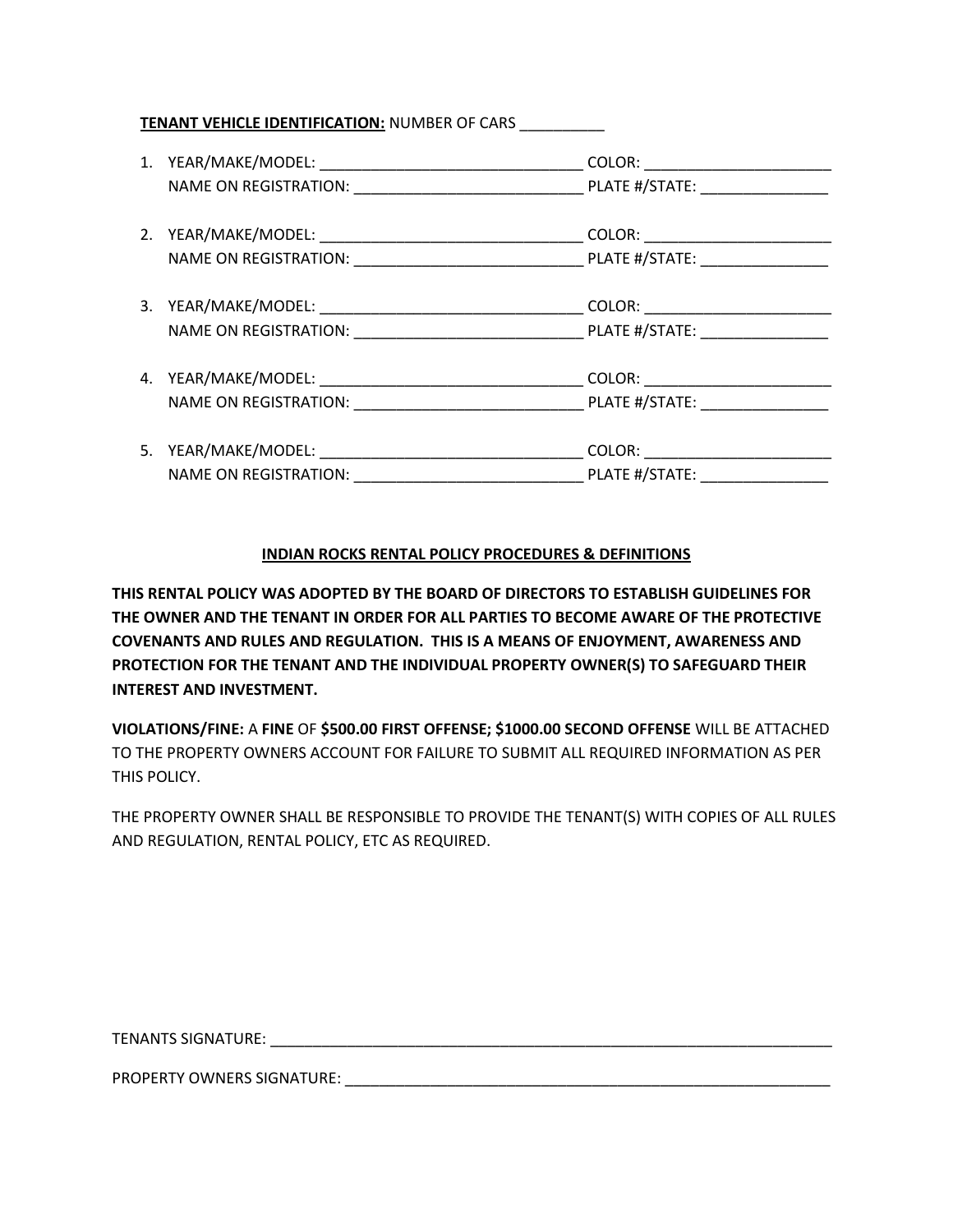## **TENANT VEHICLE IDENTIFICATION:** NUMBER OF CARS \_\_\_\_\_\_\_\_\_\_

|                                          | COLOR: ________________________  |
|------------------------------------------|----------------------------------|
|                                          |                                  |
|                                          |                                  |
|                                          | COLOR: _________________________ |
|                                          |                                  |
|                                          |                                  |
|                                          | COLOR: ________________________  |
| NAME ON REGISTRATION: __________________ |                                  |

## **INDIAN ROCKS RENTAL POLICY PROCEDURES & DEFINITIONS**

**THIS RENTAL POLICY WAS ADOPTED BY THE BOARD OF DIRECTORS TO ESTABLISH GUIDELINES FOR THE OWNER AND THE TENANT IN ORDER FOR ALL PARTIES TO BECOME AWARE OF THE PROTECTIVE COVENANTS AND RULES AND REGULATION. THIS IS A MEANS OF ENJOYMENT, AWARENESS AND PROTECTION FOR THE TENANT AND THE INDIVIDUAL PROPERTY OWNER(S) TO SAFEGUARD THEIR INTEREST AND INVESTMENT.**

**VIOLATIONS/FINE:** A **FINE** OF **\$500.00 FIRST OFFENSE; \$1000.00 SECOND OFFENSE** WILL BE ATTACHED TO THE PROPERTY OWNERS ACCOUNT FOR FAILURE TO SUBMIT ALL REQUIRED INFORMATION AS PER THIS POLICY.

THE PROPERTY OWNER SHALL BE RESPONSIBLE TO PROVIDE THE TENANT(S) WITH COPIES OF ALL RULES AND REGULATION, RENTAL POLICY, ETC AS REQUIRED.

TENANTS SIGNATURE: \_\_\_\_\_\_\_\_\_\_\_\_\_\_\_\_\_\_\_\_\_\_\_\_\_\_\_\_\_\_\_\_\_\_\_\_\_\_\_\_\_\_\_\_\_\_\_\_\_\_\_\_\_\_\_\_\_\_\_\_\_\_\_\_\_\_

PROPERTY OWNERS SIGNATURE: \_\_\_\_\_\_\_\_\_\_\_\_\_\_\_\_\_\_\_\_\_\_\_\_\_\_\_\_\_\_\_\_\_\_\_\_\_\_\_\_\_\_\_\_\_\_\_\_\_\_\_\_\_\_\_\_\_